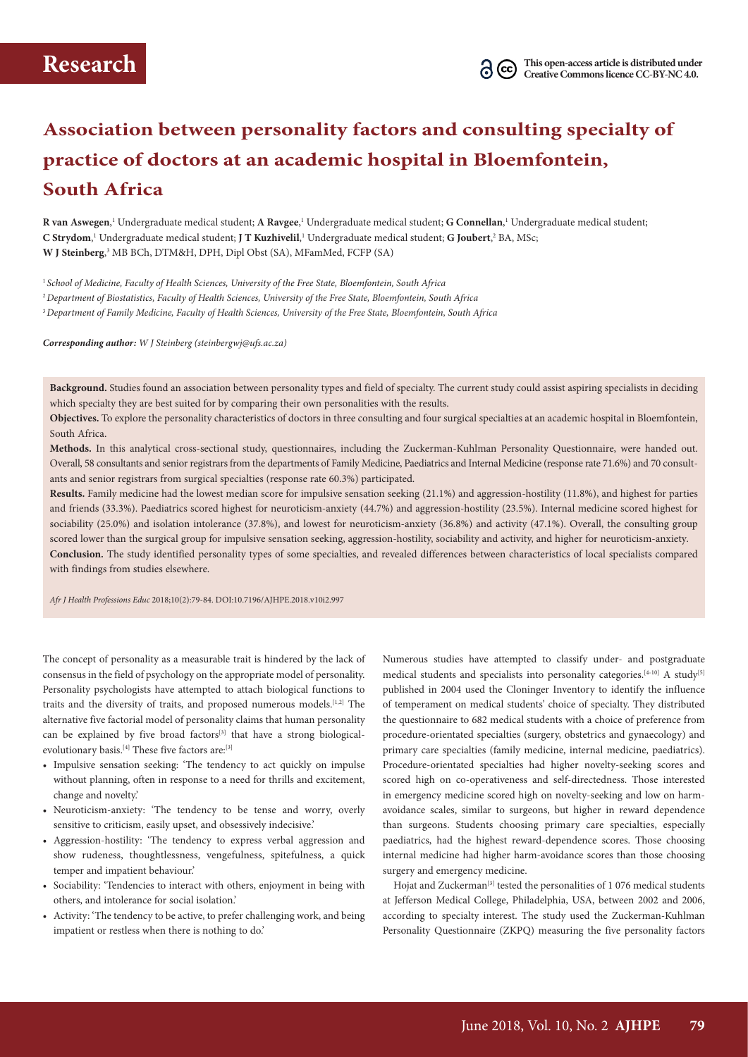# **Association between personality factors and consulting specialty of practice of doctors at an academic hospital in Bloemfontein, South Africa**

**R van Aswegen**, 1 Undergraduate medical student; **A Ravgee**, 1 Undergraduate medical student; **G Connellan**, 1 Undergraduate medical student; C Strydom,<sup>1</sup> Undergraduate medical student; **J T Kuzhivelil**,<sup>1</sup> Undergraduate medical student; G Joubert,<sup>2</sup> BA, MSc; **W J Steinberg**, 3 MB BCh, DTM&H, DPH, Dipl Obst (SA), MFamMed, FCFP (SA)

<sup>1</sup>*School of Medicine, Faculty of Health Sciences, University of the Free State, Bloemfontein, South Africa* <sup>2</sup>*Department of Biostatistics, Faculty of Health Sciences, University of the Free State, Bloemfontein, South Africa* <sup>3</sup>*Department of Family Medicine, Faculty of Health Sciences, University of the Free State, Bloemfontein, South Africa*

*Corresponding author: W J Steinberg ([steinbergwj@ufs.ac.za\)](mailto:teinbergwj@ufs.ac.za)*

**Background.** Studies found an association between personality types and field of specialty. The current study could assist aspiring specialists in deciding which specialty they are best suited for by comparing their own personalities with the results.

**Objectives.** To explore the personality characteristics of doctors in three consulting and four surgical specialties at an academic hospital in Bloemfontein, South Africa.

**Methods.** In this analytical cross-sectional study, questionnaires, including the Zuckerman-Kuhlman Personality Questionnaire, were handed out. Overall, 58 consultants and senior registrars from the departments of Family Medicine, Paediatrics and Internal Medicine (response rate 71.6%) and 70 consult ants and senior registrars from surgical specialties (response rate 60.3%) participated.

**Results.** Family medicine had the lowest median score for impulsive sensation seeking (21.1%) and aggression-hostility (11.8%), and highest for parties and friends (33.3%). Paediatrics scored highest for neuroticism-anxiety (44.7%) and aggression-hostility (23.5%). Internal medicine scored highest for sociability (25.0%) and isolation intolerance (37.8%), and lowest for neuroticism-anxiety (36.8%) and activity (47.1%). Overall, the consulting group scored lower than the surgical group for impulsive sensation seeking, aggression-hostility, sociability and activity, and higher for neuroticism-anxiety*.* **Conclusion.** The study identified personality types of some specialties, and revealed differences between characteristics of local specialists compared with findings from studies elsewhere.

*Afr J Health Professions Educ* 2018;10(2):79-84. DOI:10.7196/AJHPE.2018.v10i2.997

The concept of personality as a measurable trait is hindered by the lack of consensus in the field of psychology on the appropriate model of personality. Personality psychologists have attempted to attach biological functions to traits and the diversity of traits, and proposed numerous models.[1,2] The alternative five factorial model of personality claims that human personality can be explained by five broad factors<sup>[3]</sup> that have a strong biologicalevolutionary basis.<sup>[4]</sup> These five factors are:<sup>[3]</sup>

- Impulsive sensation seeking: 'The tendency to act quickly on impulse without planning, often in response to a need for thrills and excitement, change and novelty.'
- Neuroticism-anxiety: 'The tendency to be tense and worry, overly sensitive to criticism, easily upset, and obsessively indecisive.'
- Aggression-hostility: 'The tendency to express verbal aggression and show rudeness, thoughtlessness, vengefulness, spitefulness, a quick temper and impatient behaviour.'
- Sociability: 'Tendencies to interact with others, enjoyment in being with others, and intolerance for social isolation.'
- Activity: 'The tendency to be active, to prefer challenging work, and being impatient or restless when there is nothing to do.'

Numerous studies have attempted to classify under- and postgraduate medical students and specialists into personality categories.<sup>[4-10]</sup> A study<sup>[5]</sup> published in 2004 used the Cloninger Inventory to identify the influence of temperament on medical students' choice of specialty. They distributed the questionnaire to 682 medical students with a choice of preference from procedure-orientated specialties (surgery, obstetrics and gynaecology) and primary care specialties (family medicine, internal medicine, paediatrics). Procedure-orientated specialties had higher novelty-seeking scores and scored high on co-operativeness and self-directedness. Those interested in emergency medicine scored high on novelty-seeking and low on harmavoidance scales, similar to surgeons, but higher in reward dependence than surgeons. Students choosing primary care specialties, especially paediatrics, had the highest reward-dependence scores. Those choosing internal medicine had higher harm-avoidance scores than those choosing surgery and emergency medicine.

Hojat and Zuckerman<sup>[3]</sup> tested the personalities of 1 076 medical students at Jefferson Medical College, Philadelphia, USA, between 2002 and 2006, according to specialty interest. The study used the Zuckerman-Kuhlman Personality Questionnaire (ZKPQ) measuring the five personality factors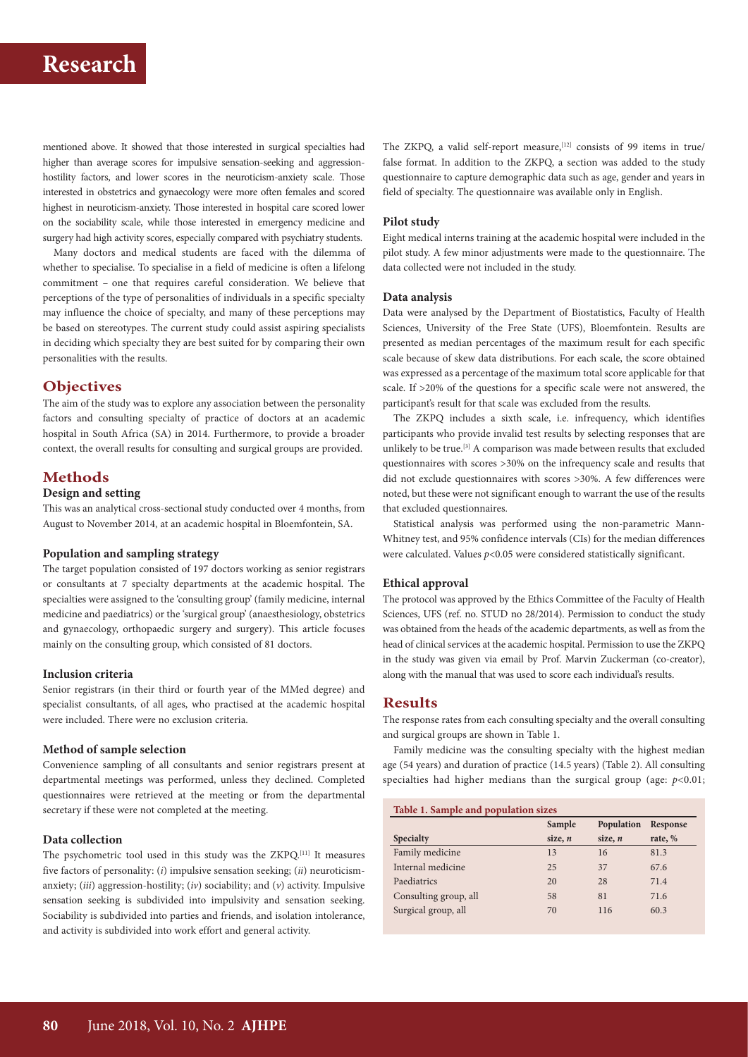## **Research**

mentioned above. It showed that those interested in surgical specialties had higher than average scores for impulsive sensation-seeking and aggressionhostility factors, and lower scores in the neuroticism-anxiety scale. Those interested in obstetrics and gynaecology were more often females and scored highest in neuroticism-anxiety. Those interested in hospital care scored lower on the sociability scale, while those interested in emergency medicine and surgery had high activity scores, especially compared with psychiatry students.

Many doctors and medical students are faced with the dilemma of whether to specialise. To specialise in a field of medicine is often a lifelong commitment – one that requires careful consideration. We believe that perceptions of the type of personalities of individuals in a specific specialty may influence the choice of specialty, and many of these perceptions may be based on stereotypes. The current study could assist aspiring specialists in deciding which specialty they are best suited for by comparing their own personalities with the results.

## **Objectives**

The aim of the study was to explore any association between the personality factors and consulting specialty of practice of doctors at an academic hospital in South Africa (SA) in 2014. Furthermore, to provide a broader context, the overall results for consulting and surgical groups are provided.

## **Methods**

### **Design and setting**

This was an analytical cross-sectional study conducted over 4 months, from August to November 2014, at an academic hospital in Bloemfontein, SA.

#### **Population and sampling strategy**

The target population consisted of 197 doctors working as senior registrars or consultants at 7 specialty departments at the academic hospital. The specialties were assigned to the 'consulting group' (family medicine, internal medicine and paediatrics) or the 'surgical group' (anaesthesiology, obstetrics and gynaecology, orthopaedic surgery and surgery). This article focuses mainly on the consulting group, which consisted of 81 doctors.

#### **Inclusion criteria**

Senior registrars (in their third or fourth year of the MMed degree) and specialist consultants, of all ages, who practised at the academic hospital were included. There were no exclusion criteria.

#### **Method of sample selection**

Convenience sampling of all consultants and senior registrars present at departmental meetings was performed, unless they declined. Completed questionnaires were retrieved at the meeting or from the departmental secretary if these were not completed at the meeting.

#### **Data collection**

The psychometric tool used in this study was the ZKPQ.[11] It measures five factors of personality: (*i*) impulsive sensation seeking; (*ii*) neuroticismanxiety; (*iii*) aggression-hostility; (*iv*) sociability; and (*v*) activity. Impulsive sensation seeking is subdivided into impulsivity and sensation seeking. Sociability is subdivided into parties and friends, and isolation intolerance, and activity is subdivided into work effort and general activity.

The ZKPQ, a valid self-report measure,<sup>[12]</sup> consists of 99 items in true/ false format. In addition to the ZKPQ, a section was added to the study questionnaire to capture demographic data such as age, gender and years in field of specialty. The questionnaire was available only in English.

#### **Pilot study**

Eight medical interns training at the academic hospital were included in the pilot study. A few minor adjustments were made to the questionnaire. The data collected were not included in the study.

#### **Data analysis**

Data were analysed by the Department of Biostatistics, Faculty of Health Sciences, University of the Free State (UFS), Bloemfontein. Results are presented as median percentages of the maximum result for each specific scale because of skew data distributions. For each scale, the score obtained was expressed as a percentage of the maximum total score applicable for that scale. If >20% of the questions for a specific scale were not answered, the participant's result for that scale was excluded from the results.

The ZKPQ includes a sixth scale, i.e. infrequency, which identifies participants who provide invalid test results by selecting responses that are unlikely to be true.[3] A comparison was made between results that excluded questionnaires with scores >30% on the infrequency scale and results that did not exclude questionnaires with scores >30%. A few differences were noted, but these were not significant enough to warrant the use of the results that excluded questionnaires.

Statistical analysis was performed using the non-parametric Mann-Whitney test, and 95% confidence intervals (CIs) for the median differences were calculated. Values  $p<0.05$  were considered statistically significant.

#### **Ethical approval**

The protocol was approved by the Ethics Committee of the Faculty of Health Sciences, UFS (ref. no. STUD no 28/2014). Permission to conduct the study was obtained from the heads of the academic departments, as well as from the head of clinical services at the academic hospital. Permission to use the ZKPQ in the study was given via email by Prof. Marvin Zuckerman (co-creator), along with the manual that was used to score each individual's results.

#### **Results**

The response rates from each consulting specialty and the overall consulting and surgical groups are shown in Table 1.

Family medicine was the consulting specialty with the highest median age (54 years) and duration of practice (14.5 years) (Table 2). All consulting specialties had higher medians than the surgical group (age: *p*<0.01;

| Table 1. Sample and population sizes |            |          |  |  |  |
|--------------------------------------|------------|----------|--|--|--|
| Sample                               | Population | Response |  |  |  |
| size, $n$                            | size, $n$  | rate, %  |  |  |  |
| 13                                   | 16         | 81.3     |  |  |  |
| 25                                   | 37         | 67.6     |  |  |  |
| 20                                   | 28         | 71.4     |  |  |  |
| 58                                   | 81         | 71.6     |  |  |  |
| 70                                   | 116        | 60.3     |  |  |  |
|                                      |            |          |  |  |  |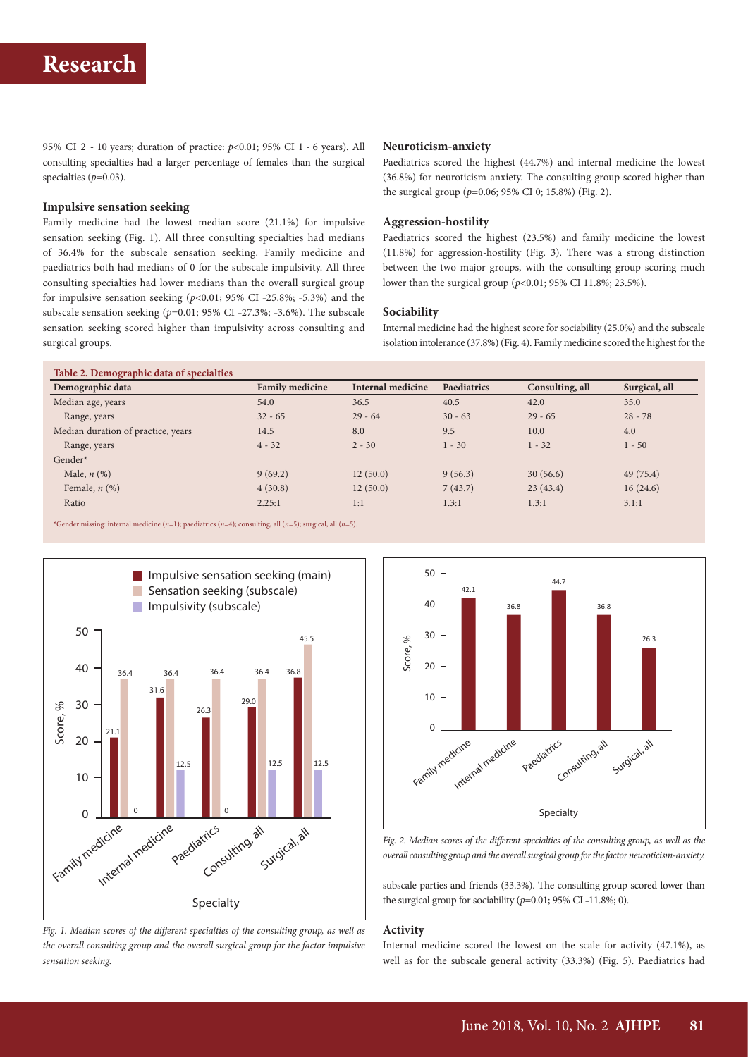95% CI 2 - 10 years; duration of practice: *p*<0.01; 95% CI 1 - 6 years). All consulting specialties had a larger percentage of females than the surgical specialties (*p=*0.03).

#### **Impulsive sensation seeking**

Family medicine had the lowest median score (21.1%) for impulsive sensation seeking (Fig. 1). All three consulting specialties had medians of 36.4% for the subscale sensation seeking. Family medicine and paediatrics both had medians of 0 for the subscale impulsivity. All three consulting specialties had lower medians than the overall surgical group for impulsive sensation seeking  $(p<0.01; 95%$  CI -25.8%; -5.3%) and the subscale sensation seeking  $(p=0.01; 95\% \text{ CI } -27.3\%; -3.6\%).$  The subscale sensation seeking scored higher than impulsivity across consulting and surgical groups.

#### **Neuroticism-anxiety**

Paediatrics scored the highest (44.7%) and internal medicine the lowest (36.8%) for neuroticism-anxiety. The consulting group scored higher than the surgical group (*p=*0.06; 95% CI 0; 15.8%) (Fig. 2).

#### **Aggression-hostility**

Paediatrics scored the highest (23.5%) and family medicine the lowest (11.8%) for aggression*-*hostility (Fig. 3). There was a strong distinction between the two major groups, with the consulting group scoring much lower than the surgical group (*p*<0.01; 95% CI 11.8%; 23.5%).

#### **Sociability**

Internal medicine had the highest score for sociability (25.0%) and the subscale isolation intolerance (37.8%) (Fig. 4). Family medicine scored the highest for the

| <b>Family medicine</b> | Internal medicine | Paediatrics | Consulting, all | Surgical, all |
|------------------------|-------------------|-------------|-----------------|---------------|
| 54.0                   | 36.5              | 40.5        | 42.0            | 35.0          |
| $32 - 65$              | $29 - 64$         | $30 - 63$   | $29 - 65$       | $28 - 78$     |
| 14.5                   | 8.0               | 9.5         | 10.0            | 4.0           |
| $4 - 32$               | $2 - 30$          | $1 - 30$    | $1 - 32$        | $1 - 50$      |
|                        |                   |             |                 |               |
| 9(69.2)                | 12(50.0)          | 9(56.3)     | 30(56.6)        | 49(75.4)      |
| 4(30.8)                | 12(50.0)          | 7(43.7)     | 23(43.4)        | 16(24.6)      |
| 2.25:1                 | 1:1               | 1.3:1       | 1.3:1           | 3.1:1         |
|                        |                   |             |                 |               |

\*Gender missing: internal medicine (*n*=1); paediatrics (*n*=4); consulting, all (*n*=5); surgical, all (*n*=5).



*Fig. 1. Median scores of the different specialties of the consulting group, as well as the overall consulting group and the overall surgical group for the factor impulsive sensation seeking.*



Fig. 2. Median scores of the different specialties of the consulting group, as well as the *overall consulting group and the overall surgical group for the factor neuroticism-anxiety.*

subscale parties and friends (33.3%). The consulting group scored lower than the surgical group for sociability  $(p=0.01; 95\% \text{ CI} -11.8\%; 0)$ .

## **Activity**

Internal medicine scored the lowest on the scale for activity (47.1%), as well as for the subscale general activity (33.3%) (Fig. 5). Paediatrics had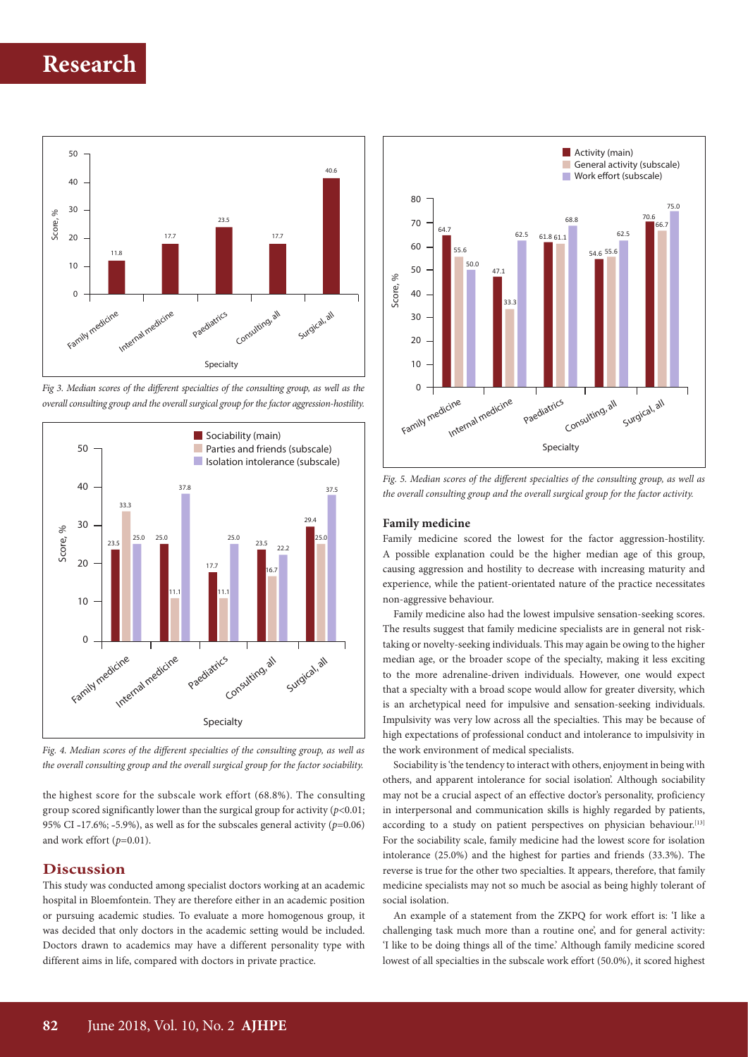





*Fig. 4. Median scores of the different specialties of the consulting group, as well as the overall consulting group and the overall surgical group for the factor sociability.*

the highest score for the subscale work effort (68.8%). The consulting group scored significantly lower than the surgical group for activity  $(p<0.01;$ 95% CI -17.6%; -5.9%), as well as for the subscales general activity ( $p=0.06$ ) and work effort (*p*=0.01).

## **Discussion**

This study was conducted among specialist doctors working at an academic hospital in Bloemfontein. They are therefore either in an academic position or pursuing academic studies. To evaluate a more homogenous group, it was decided that only doctors in the academic setting would be included. Doctors drawn to academics may have a different personality type with different aims in life, compared with doctors in private practice.



*Fig. 5. Median scores of the different specialties of the consulting group, as well as the overall consulting group and the overall surgical group for the factor activity.*

#### **Family medicine**

Family medicine scored the lowest for the factor aggression-hostility. A possible explanation could be the higher median age of this group, causing aggression and hostility to decrease with increasing maturity and experience, while the patient-orientated nature of the practice necessitates non-aggressive behaviour.

Family medicine also had the lowest impulsive sensation-seeking scores. The results suggest that family medicine specialists are in general not risktaking or novelty-seeking individuals. This may again be owing to the higher median age, or the broader scope of the specialty, making it less exciting to the more adrenaline-driven individuals. However, one would expect that a specialty with a broad scope would allow for greater diversity, which is an archetypical need for impulsive and sensation-seeking individuals. Impulsivity was very low across all the specialties. This may be because of high expectations of professional conduct and intolerance to impulsivity in the work environment of medical specialists.

Sociability is 'the tendency to interact with others, enjoyment in being with others, and apparent intolerance for social isolation'. Although sociability may not be a crucial aspect of an effective doctor's personality, proficiency in interpersonal and communication skills is highly regarded by patients, according to a study on patient perspectives on physician behaviour.<sup>[13]</sup> For the sociability scale, family medicine had the lowest score for isolation intolerance (25.0%) and the highest for parties and friends (33.3%). The reverse is true for the other two specialties. It appears, therefore, that family medicine specialists may not so much be asocial as being highly tolerant of social isolation.

An example of a statement from the ZKPQ for work effort is: 'I like a challenging task much more than a routine one', and for general activity: 'I like to be doing things all of the time.' Although family medicine scored lowest of all specialties in the subscale work effort (50.0%), it scored highest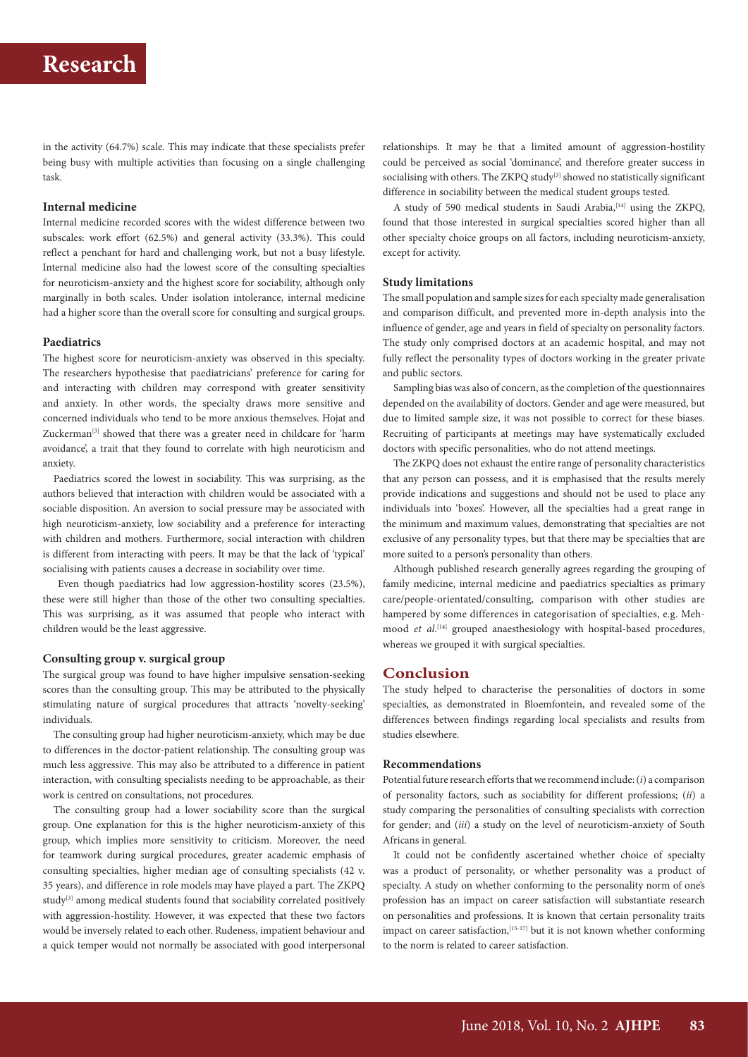in the activity (64.7%) scale. This may indicate that these specialists prefer being busy with multiple activities than focusing on a single challenging task.

#### **Internal medicine**

Internal medicine recorded scores with the widest difference between two subscales: work effort (62.5%) and general activity (33.3%). This could reflect a penchant for hard and challenging work, but not a busy lifestyle. Internal medicine also had the lowest score of the consulting specialties for neuroticism-anxiety and the highest score for sociability, although only marginally in both scales. Under isolation intolerance, internal medicine had a higher score than the overall score for consulting and surgical groups.

#### **Paediatrics**

The highest score for neuroticism-anxiety was observed in this specialty. The researchers hypothesise that paediatricians' preference for caring for and interacting with children may correspond with greater sensitivity and anxiety. In other words, the specialty draws more sensitive and concerned individuals who tend to be more anxious themselves. Hojat and Zuckerman<sup>[3]</sup> showed that there was a greater need in childcare for 'harm avoidance', a trait that they found to correlate with high neuroticism and anxiety.

Paediatrics scored the lowest in sociability. This was surprising, as the authors believed that interaction with children would be associated with a sociable disposition. An aversion to social pressure may be associated with high neuroticism-anxiety, low sociability and a preference for interacting with children and mothers. Furthermore, social interaction with children is different from interacting with peers. It may be that the lack of 'typical' socialising with patients causes a decrease in sociability over time.

 Even though paediatrics had low aggression-hostility scores (23.5%), these were still higher than those of the other two consulting specialties. This was surprising, as it was assumed that people who interact with children would be the least aggressive.

#### **Consulting group v. surgical group**

The surgical group was found to have higher impulsive sensation-seeking scores than the consulting group. This may be attributed to the physically stimulating nature of surgical procedures that attracts 'novelty-seeking' individuals.

The consulting group had higher neuroticism-anxiety, which may be due to differences in the doctor-patient relationship. The consulting group was much less aggressive. This may also be attributed to a difference in patient interaction, with consulting specialists needing to be approachable, as their work is centred on consultations, not procedures.

The consulting group had a lower sociability score than the surgical group. One explanation for this is the higher neuroticism-anxiety of this group, which implies more sensitivity to criticism. Moreover, the need for teamwork during surgical procedures, greater academic emphasis of consulting specialties, higher median age of consulting specialists (42 v. 35 years), and difference in role models may have played a part. The ZKPQ study<sup>[3]</sup> among medical students found that sociability correlated positively with aggression-hostility. However, it was expected that these two factors would be inversely related to each other. Rudeness, impatient behaviour and a quick temper would not normally be associated with good interpersonal

relationships. It may be that a limited amount of aggression-hostility could be perceived as social 'dominance', and therefore greater success in socialising with others. The ZKPQ study<sup>[3]</sup> showed no statistically significant difference in sociability between the medical student groups tested.

A study of 590 medical students in Saudi Arabia, [14] using the ZKPQ, found that those interested in surgical specialties scored higher than all other specialty choice groups on all factors, including neuroticism-anxiety, except for activity.

#### **Study limitations**

The small population and sample sizes for each specialty made generalisation and comparison difficult, and prevented more in-depth analysis into the influence of gender, age and years in field of specialty on personality factors. The study only comprised doctors at an academic hospital, and may not fully reflect the personality types of doctors working in the greater private and public sectors.

Sampling bias was also of concern, as the completion of the questionnaires depended on the availability of doctors. Gender and age were measured, but due to limited sample size, it was not possible to correct for these biases. Recruiting of participants at meetings may have systematically excluded doctors with specific personalities, who do not attend meetings.

The ZKPQ does not exhaust the entire range of personality characteristics that any person can possess, and it is emphasised that the results merely provide indications and suggestions and should not be used to place any individuals into 'boxes'. However, all the specialties had a great range in the minimum and maximum values, demonstrating that specialties are not exclusive of any personality types, but that there may be specialties that are more suited to a person's personality than others.

Although published research generally agrees regarding the grouping of family medicine, internal medicine and paediatrics specialties as primary care/people-orientated/consulting, comparison with other studies are hampered by some differences in categorisation of specialties, e.g. Mehmood *et al.*<sup>[14]</sup> grouped anaesthesiology with hospital-based procedures, whereas we grouped it with surgical specialties.

#### **Conclusion**

The study helped to characterise the personalities of doctors in some specialties, as demonstrated in Bloemfontein, and revealed some of the differences between findings regarding local specialists and results from studies elsewhere.

#### **Recommendations**

Potential future research efforts that we recommend include: (*i*) a comparison of personality factors, such as sociability for different professions; (*ii*) a study comparing the personalities of consulting specialists with correction for gender; and (*iii*) a study on the level of neuroticism-anxiety of South Africans in general.

It could not be confidently ascertained whether choice of specialty was a product of personality, or whether personality was a product of specialty. A study on whether conforming to the personality norm of one's profession has an impact on career satisfaction will substantiate research on personalities and professions. It is known that certain personality traits impact on career satisfaction, $[15-17]$  but it is not known whether conforming to the norm is related to career satisfaction.